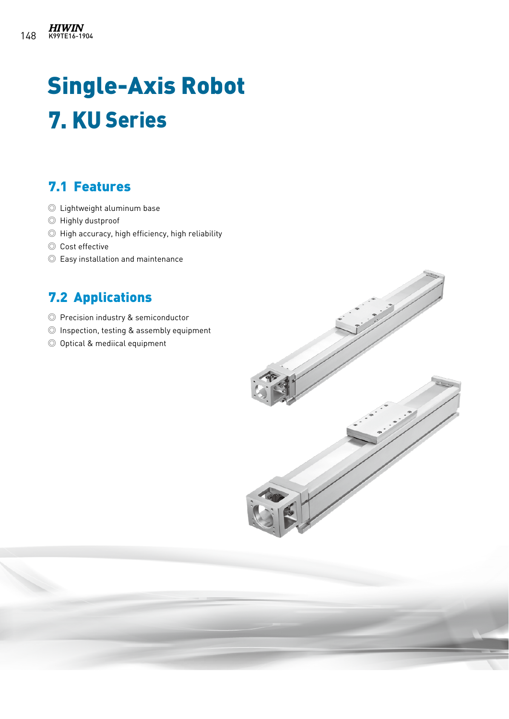# Single-Axis Robot 7. KU Series

# 7.1 Features

- ◎ Lightweight aluminum base
- ◎ Highly dustproof
- ◎ High accuracy, high efficiency, high reliability
- ◎ Cost effective
- ◎ Easy installation and maintenance

# 7.2 Applications

- ◎ Precision industry & semiconductor
- ◎ Inspection, testing & assembly equipment
- ◎ Optical & mediical equipment

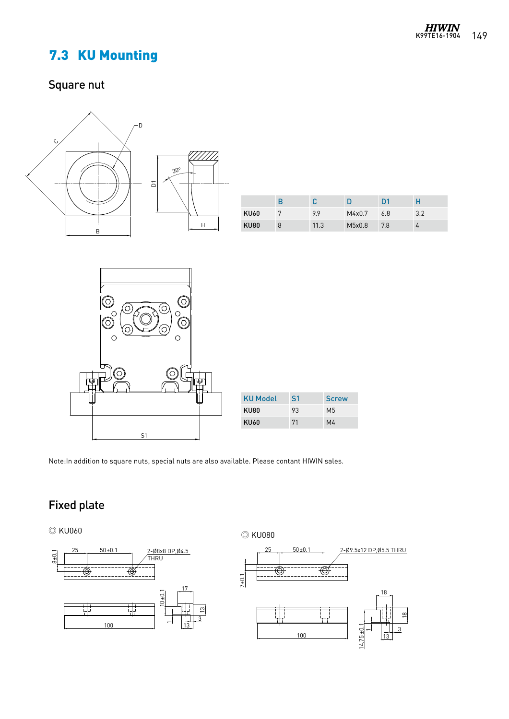# 7.3 KU Mounting

# Square nut



|             | В |      |        | D <sub>1</sub> | Н   |
|-------------|---|------|--------|----------------|-----|
| <b>KU60</b> | 5 | 9.9  | M4x0.7 | 6.8            | 3.2 |
| <b>KU80</b> | 8 | 11.3 | M5x0.8 | 7.8            |     |

18

 $\stackrel{\infty}{=}$ 3 13



| <b>KU Model</b> | S <sub>1</sub> | <b>Screw</b>   |
|-----------------|----------------|----------------|
| KU80            | 93             | M <sub>5</sub> |
| KU60            | 71             | M4             |

S1 Note:In addition to square nuts, special nuts are also available. Please contant HIWIN sales.

## Fixed plate

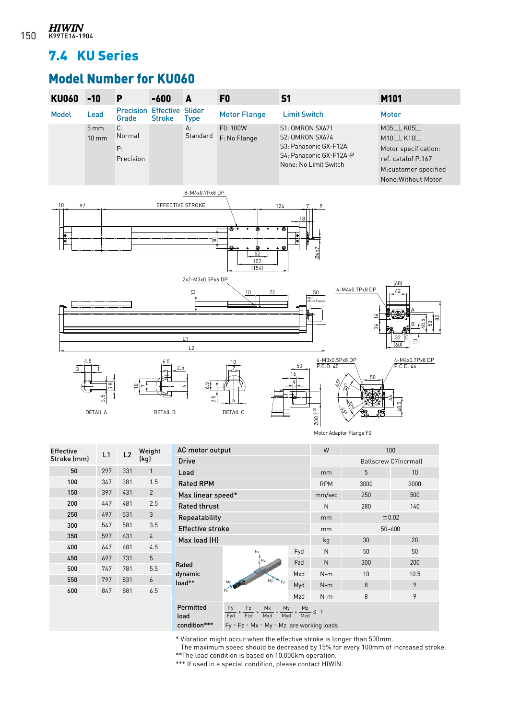## 7.4 KU Series

# Model Number for KU060



| <b>Effective</b><br>Stroke (mm) | L1  | L <sub>2</sub> | Weight<br>(kq) |
|---------------------------------|-----|----------------|----------------|
| 50                              | 297 | 331            | 1              |
| 100                             | 347 | 381            | 1.5            |
| 150                             | 397 | 431            | $\overline{2}$ |
| 200                             | 447 | 481            | 2.5            |
| 250                             | 497 | 531            | 3              |
| 300                             | 547 | 581            | 3.5            |
| 350                             | 597 | 631            | 4              |
| 400                             | 647 | 681            | 4.5            |
| 450                             | 697 | 731            | 5              |
| 500                             | 747 | 781            | 5.5            |
| 550                             | 797 | 831            | 6              |
| 600                             | 847 | 881            | 6.5            |
|                                 |     |                |                |

| AC motor output     |                                                                    |        | W                       |            | 100                  |  |
|---------------------|--------------------------------------------------------------------|--------|-------------------------|------------|----------------------|--|
| <b>Drive</b>        |                                                                    |        |                         |            | Ballscrew C7(normal) |  |
| Lead                |                                                                    |        | mm                      | 5          | 10                   |  |
| <b>Rated RPM</b>    |                                                                    |        | <b>RPM</b>              | 3000       | 3000                 |  |
| Max linear speed*   |                                                                    | mm/sec | 250                     | 500        |                      |  |
| <b>Rated thrust</b> |                                                                    | N      | 280                     | 140        |                      |  |
| Repeatability       |                                                                    |        | mm                      | ±0.02      |                      |  |
|                     | <b>Effective stroke</b>                                            |        |                         | $50 - 600$ |                      |  |
| Max load (H)        |                                                                    |        | kg                      | 30         | 20                   |  |
|                     | Fz<br>Mz                                                           | Fyd    | N                       | 50         | 50                   |  |
| Rated               |                                                                    | Fzd    | N                       | 300        | 200                  |  |
| dynamic             |                                                                    | Mxd    | $N-m$                   | 10         | 10.5                 |  |
| load**              | Mv<br>Fv<br>Mx<br>$F_x$ <sup><math>\overrightarrow{f}</math></sup> | Myd    | $N-m$                   | 8          | 9                    |  |
|                     |                                                                    |        | $N-m$                   | 8          | 9                    |  |
| Permitted<br>load   | Fz<br>Fy<br>$Mx$ .<br>My<br>Mxd<br>Fzd<br>Myd<br>Fyd               |        | $\frac{Mz}{Mzd} \leq 1$ |            |                      |  |
| condition***        | $Fy \cdot Fz \cdot Mx \cdot My \cdot Mz$ are working loads         |        |                         |            |                      |  |

\* Vibration might occur when the effective stroke is longer than 500mm.

The maximum speed should be decreased by 15% for every 100mm of increased stroke.

\*\*The load condition is based on 10,000km operation.

\*\*\* If used in a special condition, please contact HIWIN.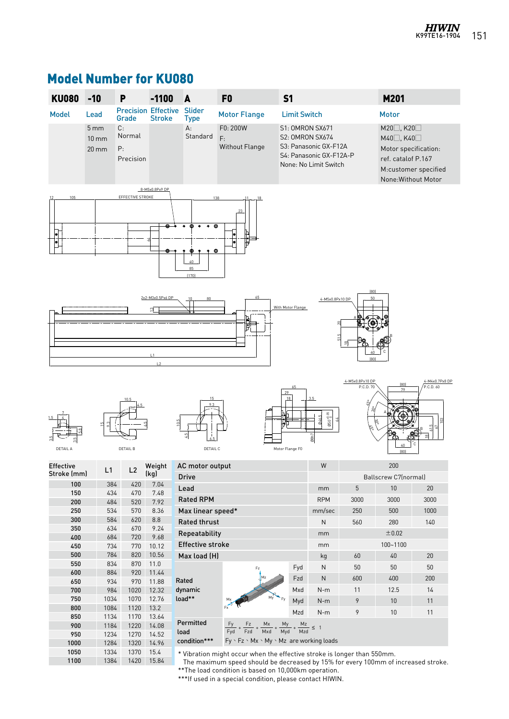# Model Number for KU080

| <b>KU080</b>     | $-10$                                                   | P                                   | $-1100$                     | A                                                          | F <sub>0</sub>                                                                    | S <sub>1</sub>                                   |                                                                           |                              | M201                                                                                          |                                                 |
|------------------|---------------------------------------------------------|-------------------------------------|-----------------------------|------------------------------------------------------------|-----------------------------------------------------------------------------------|--------------------------------------------------|---------------------------------------------------------------------------|------------------------------|-----------------------------------------------------------------------------------------------|-------------------------------------------------|
| <b>Model</b>     | Lead                                                    | <b>Precision Effective</b><br>Grade | <b>Stroke</b>               | Slider<br><b>Type</b>                                      | <b>Motor Flange</b>                                                               | <b>Limit Switch</b>                              |                                                                           |                              | <b>Motor</b>                                                                                  |                                                 |
|                  | 5 <sub>mm</sub><br>$10 \text{ mm}$<br>$20 \, \text{mm}$ | C:<br>Normal<br>P:<br>Precision     |                             | А:<br>Standard                                             | F0:200W<br>F:<br>Without Flange                                                   | <b>S1: OMRON SX671</b><br><b>S2: OMRON SX674</b> | S3: Panasonic GX-F12A<br>S4: Panasonic GX-F12A-P<br>None: No Limit Switch |                              | М20□, К20□<br>M40□, K40□<br>Motor specification:<br>ref. catalof P.167<br>None: Without Motor | M:customer specified                            |
| 105              |                                                         | EFFECTIVE STROKE                    | 8-M5x0.8Px9 DP<br>⊕<br>ക    | ©<br>$\ddot{\bullet}$<br>$\circ$<br>®<br>40<br>85<br>(170) | 138                                                                               |                                                  |                                                                           |                              |                                                                                               |                                                 |
|                  |                                                         |                                     | 2x2-M3x0.5Px6 DP<br>의<br> 2 |                                                            | 65                                                                                | With Motor Flange                                | 4-M5x0.8Px10 DP<br>51.5                                                   | [80]<br>[80]                 |                                                                                               |                                                 |
| <b>DETAIL A</b>  |                                                         | 10.5<br><b>DETAIL B</b>             |                             | 15<br>DETAIL C                                             |                                                                                   | 29<br>18<br>Motor Flange F0                      | 3.5<br>$0.60^{+0.05}$<br>046.5<br>08h7                                    | 4-M5x0.8Px10 DP<br>P.C.D. 70 | [80]<br>79<br>[80]                                                                            | 4-M4x0.7Px8 DP<br>P.C.D. 60<br>$\overline{\Xi}$ |
| <b>Effective</b> | L1                                                      | L <sub>2</sub>                      | Weight                      | AC motor output                                            |                                                                                   |                                                  | W                                                                         |                              | 200                                                                                           |                                                 |
| Stroke (mm)      |                                                         |                                     | (kg)                        | Drive                                                      |                                                                                   |                                                  |                                                                           |                              | Ballscrew C7(normal)                                                                          |                                                 |
| 100<br>150       |                                                         | 384<br>420<br>434<br>470            | 7.04<br>7.48                | Lead                                                       |                                                                                   |                                                  | mm                                                                        | $\sqrt{5}$                   | $10\,$                                                                                        | 20                                              |
| 200              |                                                         | 484<br>520                          | 7.92                        | <b>Rated RPM</b>                                           |                                                                                   |                                                  | <b>RPM</b>                                                                | 3000                         | 3000                                                                                          | 3000                                            |
| 250              | 534                                                     | 570                                 | 8.36                        | Max linear speed*                                          |                                                                                   |                                                  | mm/sec                                                                    | 250                          | 500                                                                                           | 1000                                            |
| 300              |                                                         | 584<br>620                          | $8.8\,$                     | Rated thrust                                               |                                                                                   |                                                  | ${\sf N}$                                                                 | 560                          | 280                                                                                           | 140                                             |
| 350<br>400       | 634<br>684                                              | 670<br>720                          | 9.24<br>9.68                | Repeatability                                              |                                                                                   |                                                  | mm                                                                        |                              | ±0.02                                                                                         |                                                 |
| 450              | 734                                                     | 770                                 | 10.12                       | <b>Effective stroke</b>                                    |                                                                                   |                                                  | mm                                                                        |                              | 100~1100                                                                                      |                                                 |
| 500              |                                                         | 784<br>820                          | 10.56                       | Max load (H)                                               |                                                                                   |                                                  | kg                                                                        | 60                           | $40\,$                                                                                        | 20                                              |
| 550              | 834                                                     | 870                                 | 11.0                        |                                                            | Fz                                                                                | Fyd                                              | ${\sf N}$                                                                 | 50                           | $50\,$                                                                                        | 50                                              |
| 600<br>650       | 934                                                     | 884<br>920<br>970                   | 11.44<br>11.88              | Rated                                                      |                                                                                   | Fzd                                              | ${\sf N}$                                                                 | 600                          | 400                                                                                           | 200                                             |
| 700              | 984                                                     | 1020                                | 12.32                       | dynamic                                                    |                                                                                   | Mxd                                              | $N-m$                                                                     | 11                           | 12.5                                                                                          | 14                                              |
| 750              | 1034                                                    | 1070                                | 12.76                       | load**                                                     |                                                                                   | Myd                                              | $N-m$                                                                     | 9                            | $10\,$                                                                                        | 11                                              |
| 800              | 1084                                                    | 1120                                | 13.2                        |                                                            |                                                                                   | Mzd                                              | $N-m$                                                                     | 9                            | 10                                                                                            | 11                                              |
| 850              | 1134                                                    | 1170<br>1220                        | 13.64<br>14.08              | Permitted                                                  |                                                                                   |                                                  |                                                                           |                              |                                                                                               |                                                 |
| 900<br>950       | 1184<br>1234                                            | 1270                                | 14.52                       | load                                                       | $+\frac{Fz}{Fzd} + \frac{Mx}{Mxd}$<br>$\frac{Fy}{Fyd}$                            | $+\frac{My}{Myd} + \frac{Mz}{Mzd} \leq 1$        |                                                                           |                              |                                                                                               |                                                 |
| 1000             | 1284                                                    | 1320                                | 14.96                       | condition***                                               | Fy \ Fz \ Mx \ My \ Mz are working loads                                          |                                                  |                                                                           |                              |                                                                                               |                                                 |
| 1050             | 1334                                                    | 1370                                | 15.4                        |                                                            | * Vibration might occur when the effective stroke is longer than 550mm.           |                                                  |                                                                           |                              |                                                                                               |                                                 |
| 1100             | 1384                                                    | 1420                                | 15.84                       |                                                            | The maximum speed should be decreased by 15% for every 100mm of increased stroke. |                                                  |                                                                           |                              |                                                                                               |                                                 |

\*\*The load condition is based on 10,000km operation.

\*\*\*If used in a special condition, please contact HIWIN.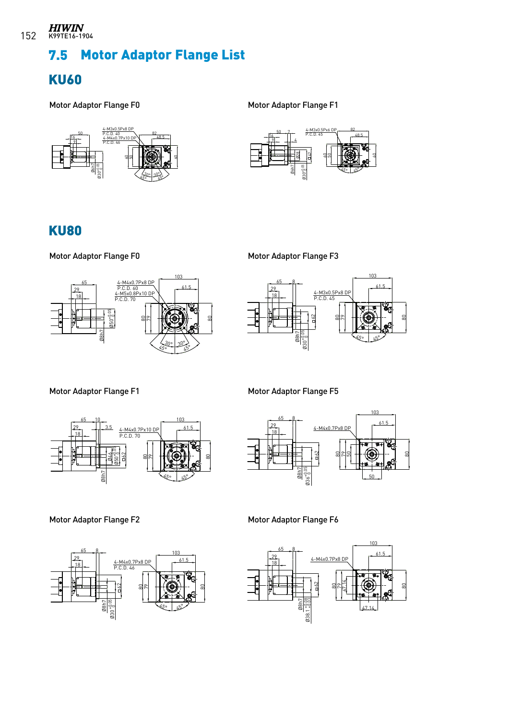# 7.5 Motor Adaptor Flange List

#### $\frac{1}{\sqrt{2}}$ KU60

Motor Adaptor Flange F0







#### $\frac{1}{\sqrt{2}}$ KU80

Motor Adaptor Flange F0



Motor Adaptor Flange F3



Motor Adaptor Flange F1



Motor Adaptor Flange F5



Motor Adaptor Flange F2



Motor Adaptor Flange F6

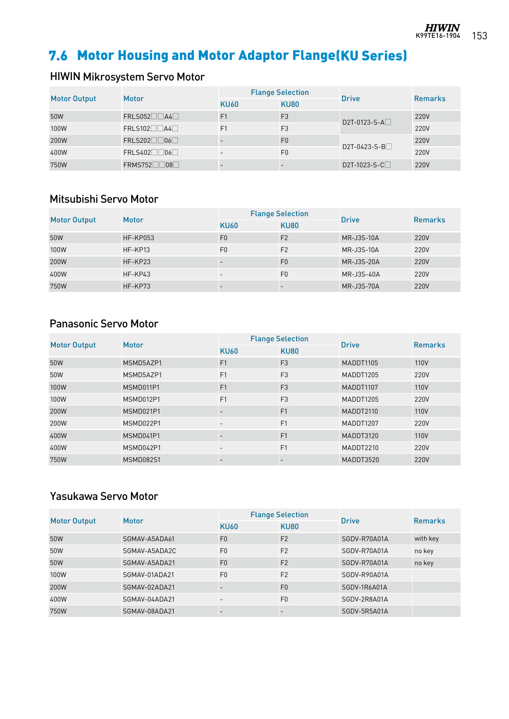

# 7.6 Motor Housing and Motor Adaptor Flange(KU Series)

## HIWIN Mikrosystem Servo Motor

|                     | Motor          |                | <b>Flange Selection</b> | <b>Drive</b>              | <b>Remarks</b> |
|---------------------|----------------|----------------|-------------------------|---------------------------|----------------|
| <b>Motor Output</b> |                | <b>KU60</b>    | <b>KU80</b>             |                           |                |
| 50W                 | $FRLS052$ $A4$ | F <sub>1</sub> | F <sub>3</sub>          | D2T-0123-S-A <sup>1</sup> | 220V           |
| 100W                | FRLS102        | F <sub>1</sub> | F <sub>3</sub>          |                           | 220V           |
| 200W                | FRLS202        |                | F <sub>0</sub>          |                           | 220V           |
| 400W                | $FRLS402$ 06   |                | F <sub>0</sub>          | $D2T-0423-S-B$            | 220V           |
| 750W                | $FRMS752$ 08   |                |                         | D2T-1023-S-C              | 220V           |

#### Mitsubishi Servo Motor

|                     | <b>Motor</b> |                | <b>Flange Selection</b> | <b>Drive</b>      | Remarks |
|---------------------|--------------|----------------|-------------------------|-------------------|---------|
| <b>Motor Output</b> |              | <b>KU60</b>    | <b>KU80</b>             |                   |         |
| 50W                 | HF-KP053     | F <sub>0</sub> | F <sub>2</sub>          | <b>MR-J3S-10A</b> | 220V    |
| 100W                | HF-KP13      | F <sub>0</sub> | F <sub>2</sub>          | MR-J3S-10A        | 220V    |
| 200W                | HF-KP23      |                | F <sub>0</sub>          | <b>MR-J3S-20A</b> | 220V    |
| 400W                | $HF-KP43$    | $\sim$         | F <sub>0</sub>          | MR-J3S-40A        | 220V    |
| 750W                | HF-KP73      |                |                         | <b>MR-J3S-70A</b> | 220V    |

#### Panasonic Servo Motor

| <b>Motor Output</b> | <b>Motor</b> |                          | <b>Flange Selection</b>  | <b>Drive</b> | <b>Remarks</b> |
|---------------------|--------------|--------------------------|--------------------------|--------------|----------------|
|                     |              | <b>KU60</b>              | <b>KU80</b>              |              |                |
| 50W                 | MSMD5AZP1    | F <sub>1</sub>           | F <sub>3</sub>           | MADDT1105    | 110V           |
| 50W                 | MSMD5AZP1    | F1                       | F <sub>3</sub>           | MADDT1205    | 220V           |
| 100W                | MSMD011P1    | F <sub>1</sub>           | F <sub>3</sub>           | MADDT1107    | 110V           |
| 100W                | MSMD012P1    | F <sub>1</sub>           | F <sub>3</sub>           | MADDT1205    | 220V           |
| 200W                | MSMD021P1    |                          | F <sub>1</sub>           | MADDT2110    | 110V           |
| 200W                | MSMD022P1    |                          | F <sub>1</sub>           | MADDT1207    | 220V           |
| 400W                | MSMD041P1    |                          | F <sub>1</sub>           | MADDT3120    | 110V           |
| 400W                | MSMD042P1    | $\overline{\phantom{0}}$ | F1                       | MADDT2210    | 220V           |
| 750W                | MSMD082S1    |                          | $\overline{\phantom{0}}$ | MADDT3520    | 220V           |

#### Yasukawa Servo Motor

| <b>Motor Output</b> | <b>Motor</b>  |                          | <b>Flange Selection</b> | <b>Drive</b> | <b>Remarks</b> |
|---------------------|---------------|--------------------------|-------------------------|--------------|----------------|
|                     |               | <b>KU60</b>              | <b>KU80</b>             |              |                |
| 50W                 | SGMAV-A5ADA61 | F <sub>0</sub>           | F <sub>2</sub>          | SGDV-R70A01A | with key       |
| 50W                 | SGMAV-A5ADA2C | F <sub>0</sub>           | F <sub>2</sub>          | SGDV-R70A01A | no key         |
| 50W                 | SGMAV-A5ADA21 | F <sub>0</sub>           | F <sub>2</sub>          | SGDV-R70A01A | no key         |
| 100W                | SGMAV-01ADA21 | F <sub>0</sub>           | F <sub>2</sub>          | SGDV-R90A01A |                |
| 200W                | SGMAV-02ADA21 |                          | F <sub>0</sub>          | SGDV-1R6A01A |                |
| 400W                | SGMAV-04ADA21 | $\overline{\phantom{0}}$ | F <sub>0</sub>          | SGDV-2R8A01A |                |
| 750W                | SGMAV-08ADA21 |                          |                         | SGDV-5R5A01A |                |